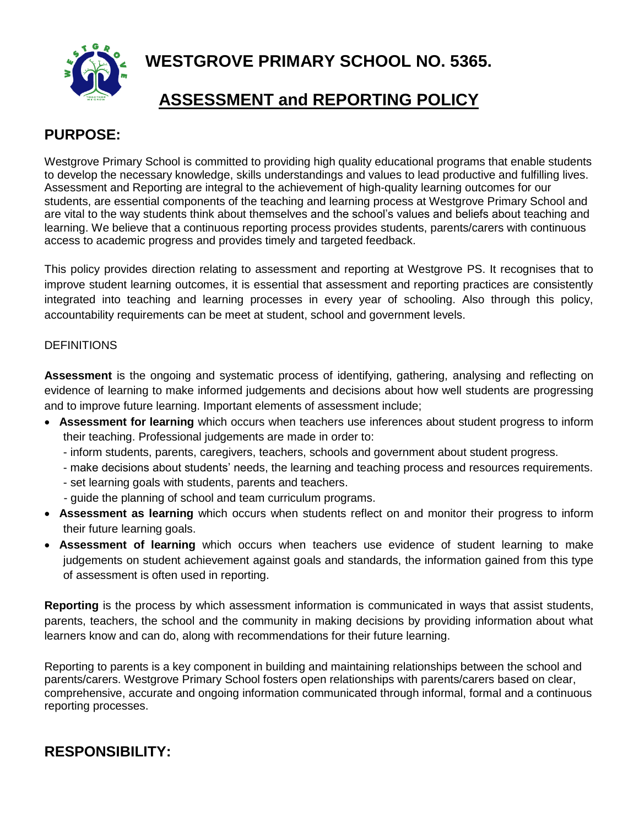**WESTGROVE PRIMARY SCHOOL NO. 5365.**



# **ASSESSMENT and REPORTING POLICY**

### **PURPOSE:**

Westgrove Primary School is committed to providing high quality educational programs that enable students to develop the necessary knowledge, skills understandings and values to lead productive and fulfilling lives. Assessment and Reporting are integral to the achievement of high-quality learning outcomes for our students, are essential components of the teaching and learning process at Westgrove Primary School and are vital to the way students think about themselves and the school's values and beliefs about teaching and learning. We believe that a continuous reporting process provides students, parents/carers with continuous access to academic progress and provides timely and targeted feedback.

This policy provides direction relating to assessment and reporting at Westgrove PS. It recognises that to improve student learning outcomes, it is essential that assessment and reporting practices are consistently integrated into teaching and learning processes in every year of schooling. Also through this policy, accountability requirements can be meet at student, school and government levels.

#### **DEFINITIONS**

**Assessment** is the ongoing and systematic process of identifying, gathering, analysing and reflecting on evidence of learning to make informed judgements and decisions about how well students are progressing and to improve future learning. Important elements of assessment include;

- **Assessment for learning** which occurs when teachers use inferences about student progress to inform their teaching. Professional judgements are made in order to:
	- inform students, parents, caregivers, teachers, schools and government about student progress.
	- make decisions about students' needs, the learning and teaching process and resources requirements.
	- set learning goals with students, parents and teachers.
	- guide the planning of school and team curriculum programs.
- **Assessment as learning** which occurs when students reflect on and monitor their progress to inform their future learning goals.
- **Assessment of learning** which occurs when teachers use evidence of student learning to make judgements on student achievement against goals and standards, the information gained from this type of assessment is often used in reporting.

**Reporting** is the process by which assessment information is communicated in ways that assist students, parents, teachers, the school and the community in making decisions by providing information about what learners know and can do, along with recommendations for their future learning.

Reporting to parents is a key component in building and maintaining relationships between the school and parents/carers. Westgrove Primary School fosters open relationships with parents/carers based on clear, comprehensive, accurate and ongoing information communicated through informal, formal and a continuous reporting processes.

# **RESPONSIBILITY:**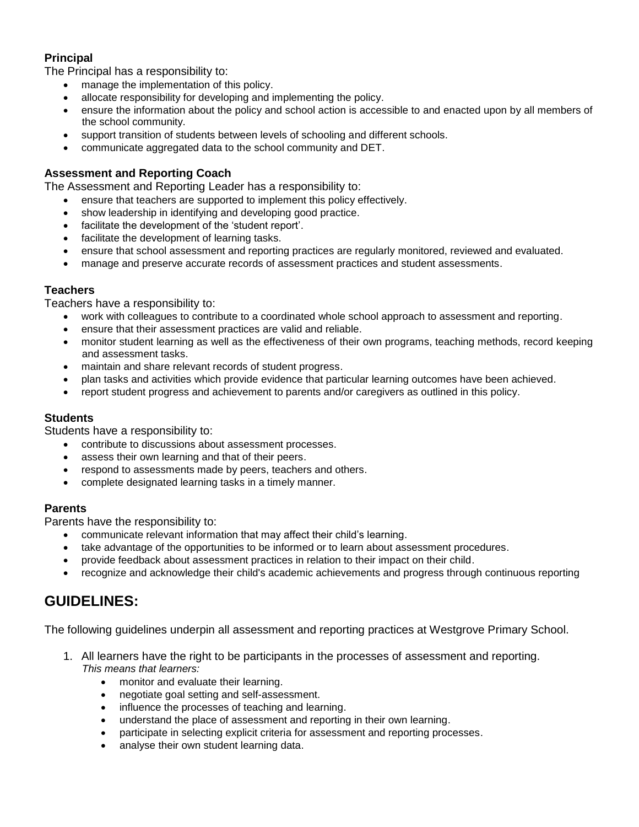#### **Principal**

The Principal has a responsibility to:

- manage the implementation of this policy.
- allocate responsibility for developing and implementing the policy.
- ensure the information about the policy and school action is accessible to and enacted upon by all members of the school community.
- support transition of students between levels of schooling and different schools.
- communicate aggregated data to the school community and DET.

#### **Assessment and Reporting Coach**

The Assessment and Reporting Leader has a responsibility to:

- ensure that teachers are supported to implement this policy effectively.
- show leadership in identifying and developing good practice.
- facilitate the development of the 'student report'.
- facilitate the development of learning tasks.
- ensure that school assessment and reporting practices are regularly monitored, reviewed and evaluated.
- manage and preserve accurate records of assessment practices and student assessments.

#### **Teachers**

Teachers have a responsibility to:

- work with colleagues to contribute to a coordinated whole school approach to assessment and reporting.
- ensure that their assessment practices are valid and reliable.
- monitor student learning as well as the effectiveness of their own programs, teaching methods, record keeping and assessment tasks.
- maintain and share relevant records of student progress.
- plan tasks and activities which provide evidence that particular learning outcomes have been achieved.
- report student progress and achievement to parents and/or caregivers as outlined in this policy.

#### **Students**

Students have a responsibility to:

- contribute to discussions about assessment processes.
- assess their own learning and that of their peers.
- respond to assessments made by peers, teachers and others.
- complete designated learning tasks in a timely manner.

#### **Parents**

Parents have the responsibility to:

- communicate relevant information that may affect their child's learning.
- take advantage of the opportunities to be informed or to learn about assessment procedures.
- provide feedback about assessment practices in relation to their impact on their child.
- recognize and acknowledge their child's academic achievements and progress through continuous reporting

### **GUIDELINES:**

The following guidelines underpin all assessment and reporting practices at Westgrove Primary School.

- 1. All learners have the right to be participants in the processes of assessment and reporting. *This means that learners:*
	- monitor and evaluate their learning.
	- negotiate goal setting and self-assessment.
	- influence the processes of teaching and learning.
	- understand the place of assessment and reporting in their own learning.
	- participate in selecting explicit criteria for assessment and reporting processes.
	- analyse their own student learning data.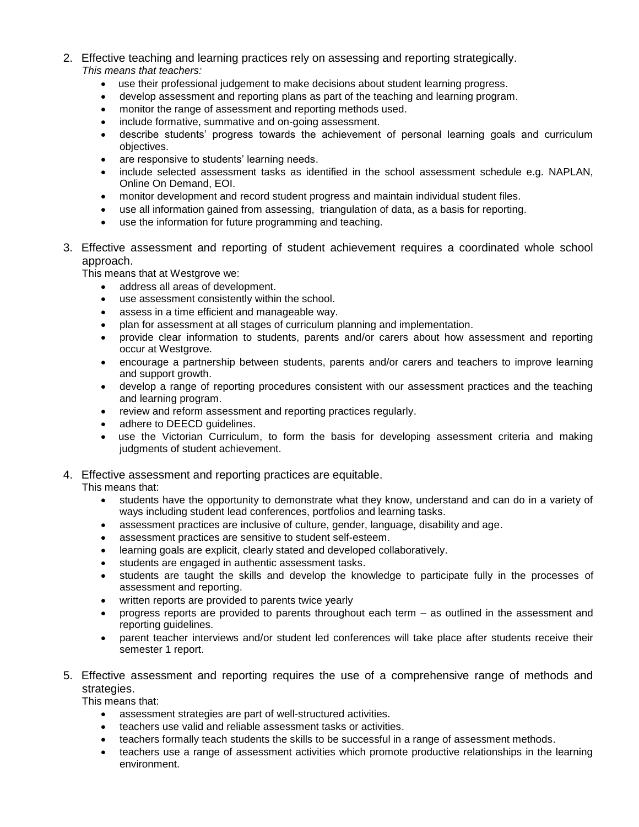- 2. Effective teaching and learning practices rely on assessing and reporting strategically. *This means that teachers:*
	- use their professional judgement to make decisions about student learning progress.
	- develop assessment and reporting plans as part of the teaching and learning program.
	- monitor the range of assessment and reporting methods used.
	- include formative, summative and on-going assessment.
	- describe students' progress towards the achievement of personal learning goals and curriculum objectives.
	- are responsive to students' learning needs.
	- include selected assessment tasks as identified in the school assessment schedule e.g. NAPLAN, Online On Demand, EOI.
	- monitor development and record student progress and maintain individual student files.
	- use all information gained from assessing, triangulation of data, as a basis for reporting.
	- use the information for future programming and teaching.
- 3. Effective assessment and reporting of student achievement requires a coordinated whole school approach.

This means that at Westgrove we:

- address all areas of development.
- use assessment consistently within the school.
- assess in a time efficient and manageable way.
- plan for assessment at all stages of curriculum planning and implementation.
- provide clear information to students, parents and/or carers about how assessment and reporting occur at Westgrove.
- encourage a partnership between students, parents and/or carers and teachers to improve learning and support growth.
- develop a range of reporting procedures consistent with our assessment practices and the teaching and learning program.
- review and reform assessment and reporting practices regularly.
- adhere to DEECD guidelines.
- use the Victorian Curriculum, to form the basis for developing assessment criteria and making judgments of student achievement.

#### 4. Effective assessment and reporting practices are equitable.

This means that:

- students have the opportunity to demonstrate what they know, understand and can do in a variety of ways including student lead conferences, portfolios and learning tasks.
- assessment practices are inclusive of culture, gender, language, disability and age.
- assessment practices are sensitive to student self-esteem.
- learning goals are explicit, clearly stated and developed collaboratively.
- students are engaged in authentic assessment tasks.
- students are taught the skills and develop the knowledge to participate fully in the processes of assessment and reporting.
- written reports are provided to parents twice yearly
- progress reports are provided to parents throughout each term as outlined in the assessment and reporting guidelines.
- parent teacher interviews and/or student led conferences will take place after students receive their semester 1 report.
- 5. Effective assessment and reporting requires the use of a comprehensive range of methods and strategies.

This means that:

- assessment strategies are part of well-structured activities.
- teachers use valid and reliable assessment tasks or activities.
- teachers formally teach students the skills to be successful in a range of assessment methods.
- teachers use a range of assessment activities which promote productive relationships in the learning environment.